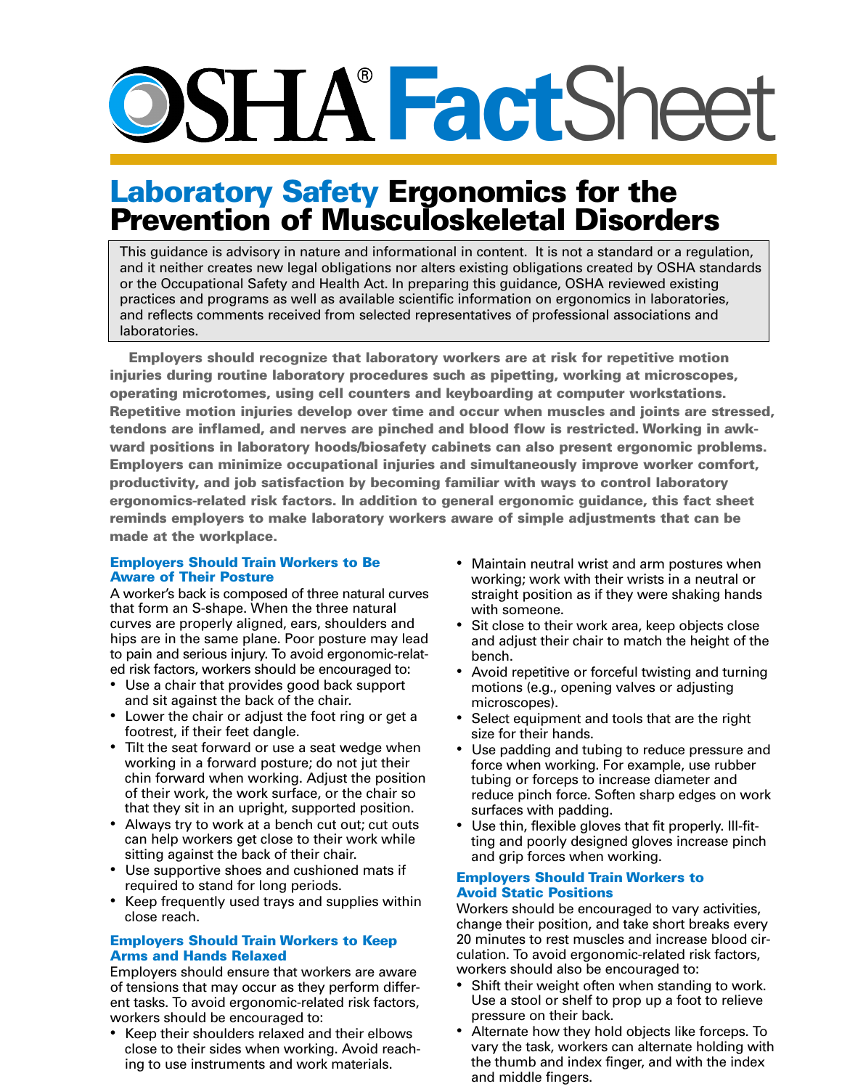# O>SITX **Fact**Sheet

# Laboratory Safety Ergonomics for the Prevention of Musculoskeletal Disorders

This guidance is advisory in nature and informational in content. It is not a standard or a regulation, and it neither creates new legal obligations nor alters existing obligations created by OSHA standards or the Occupational Safety and Health Act. In preparing this guidance, OSHA reviewed existing practices and programs as well as available scientific information on ergonomics in laboratories, and reflects comments received from selected representatives of professional associations and laboratories.

 ward positions in laboratory hoods/biosafety cabinets can also present ergonomic problems. Employers should recognize that laboratory workers are at risk for repetitive motion injuries during routine laboratory procedures such as pipetting, working at microscopes, operating microtomes, using cell counters and keyboarding at computer workstations. Repetitive motion injuries develop over time and occur when muscles and joints are stressed, tendons are inflamed, and nerves are pinched and blood flow is restricted. Working in awk-Employers can minimize occupational injuries and simultaneously improve worker comfort, productivity, and job satisfaction by becoming familiar with ways to control laboratory ergonomics-related risk factors. In addition to general ergonomic guidance, this fact sheet reminds employers to make laboratory workers aware of simple adjustments that can be made at the workplace.

# Employers Should Train Workers to Be Aware of Their Posture

A worker's back is composed of three natural curves that form an S-shape. When the three natural curves are properly aligned, ears, shoulders and hips are in the same plane. Poor posture may lead to pain and serious injury. To avoid ergonomic-related risk factors, workers should be encouraged to:

- Use a chair that provides good back support and sit against the back of the chair.
- Lower the chair or adjust the foot ring or get a footrest, if their feet dangle.
- • Tilt the seat forward or use a seat wedge when working in a forward posture; do not jut their chin forward when working. Adjust the position of their work, the work surface, or the chair so that they sit in an upright, supported position.
- Always try to work at a bench cut out; cut outs can help workers get close to their work while sitting against the back of their chair.
- Use supportive shoes and cushioned mats if required to stand for long periods.
- Keep frequently used trays and supplies within close reach.

# Employers Should Train Workers to Keep Arms and Hands Relaxed

Employers should ensure that workers are aware of tensions that may occur as they perform different tasks. To avoid ergonomic-related risk factors, workers should be encouraged to:

• Keep their shoulders relaxed and their elbows close to their sides when working. Avoid reaching to use instruments and work materials.

- Maintain neutral wrist and arm postures when working; work with their wrists in a neutral or straight position as if they were shaking hands with someone.
- Sit close to their work area, keep objects close and adjust their chair to match the height of the bench.
- • Avoid repetitive or forceful twisting and turning motions (e.g., opening valves or adjusting microscopes).
- Select equipment and tools that are the right size for their hands.
- Use padding and tubing to reduce pressure and force when working. For example, use rubber tubing or forceps to increase diameter and reduce pinch force. Soften sharp edges on work surfaces with padding.
- Use thin, flexible gloves that fit properly. Ill-fitting and poorly designed gloves increase pinch and grip forces when working.

# Employers Should Train Workers to Avoid Static Positions

 Workers should be encouraged to vary activities, change their position, and take short breaks every 20 minutes to rest muscles and increase blood circulation. To avoid ergonomic-related risk factors, workers should also be encouraged to:

- Shift their weight often when standing to work. Use a stool or shelf to prop up a foot to relieve pressure on their back.
- Alternate how they hold objects like forceps. To vary the task, workers can alternate holding with the thumb and index finger, and with the index and middle fingers.